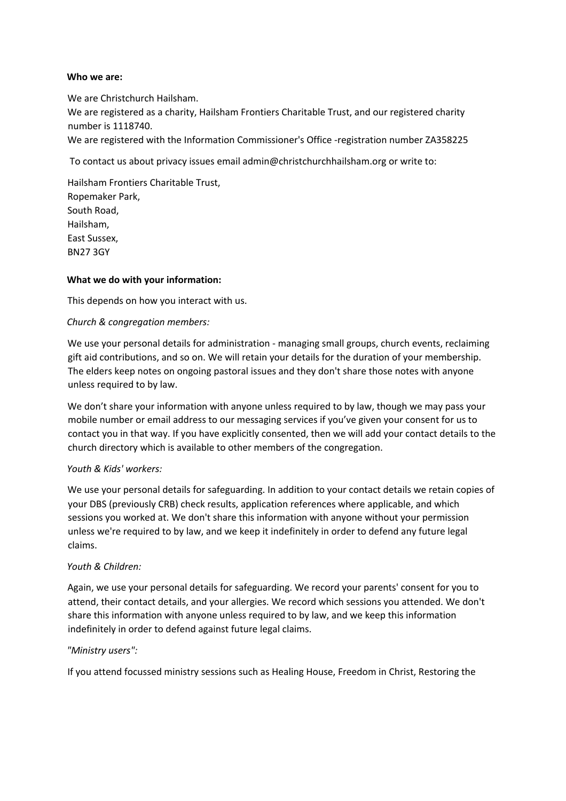### **Who we are:**

We are Christchurch Hailsham. We are registered as a charity, Hailsham Frontiers Charitable Trust, and our registered charity number is 1118740. We are registered with the Information Commissioner's Office -registration number ZA358225

To contact us about privacy issues email admin@christchurchhailsham.org or write to:

Hailsham Frontiers Charitable Trust, Ropemaker Park, South Road, Hailsham, East Sussex, BN27 3GY

### **What we do with your information:**

This depends on how you interact with us.

# *Church & congregation members:*

We use your personal details for administration - managing small groups, church events, reclaiming gift aid contributions, and so on. We will retain your details for the duration of your membership. The elders keep notes on ongoing pastoral issues and they don't share those notes with anyone unless required to by law.

We don't share your information with anyone unless required to by law, though we may pass your mobile number or email address to our messaging services if you've given your consent for us to contact you in that way. If you have explicitly consented, then we will add your contact details to the church directory which is available to other members of the congregation.

### *Youth & Kids' workers:*

We use your personal details for safeguarding. In addition to your contact details we retain copies of your DBS (previously CRB) check results, application references where applicable, and which sessions you worked at. We don't share this information with anyone without your permission unless we're required to by law, and we keep it indefinitely in order to defend any future legal claims.

### *Youth & Children:*

Again, we use your personal details for safeguarding. We record your parents' consent for you to attend, their contact details, and your allergies. We record which sessions you attended. We don't share this information with anyone unless required to by law, and we keep this information indefinitely in order to defend against future legal claims.

### *"Ministry users":*

If you attend focussed ministry sessions such as Healing House, Freedom in Christ, Restoring the